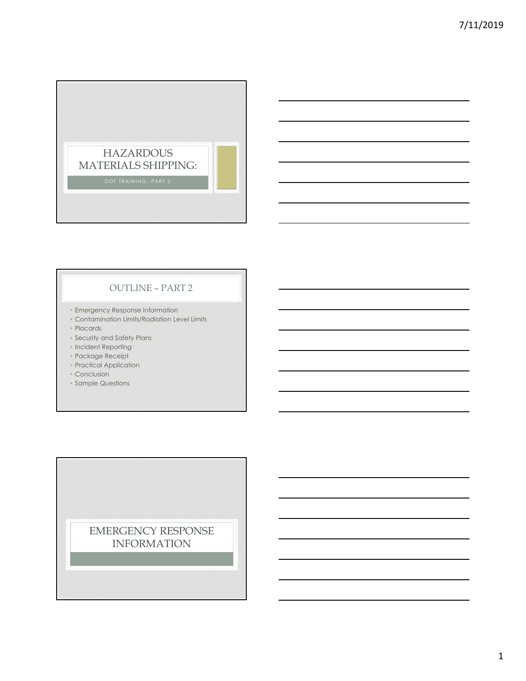

## OUTLINE – PART 2

- Emergency Response Information
- Contamination Limits/Radiation Level Limits
- Placards
- Security and Safety Plans
- Incident Reporting
- Package Receipt
- Practical Application
- Conclusion
- Sample Questions

EMERGENCY RESPONSE INFORMATION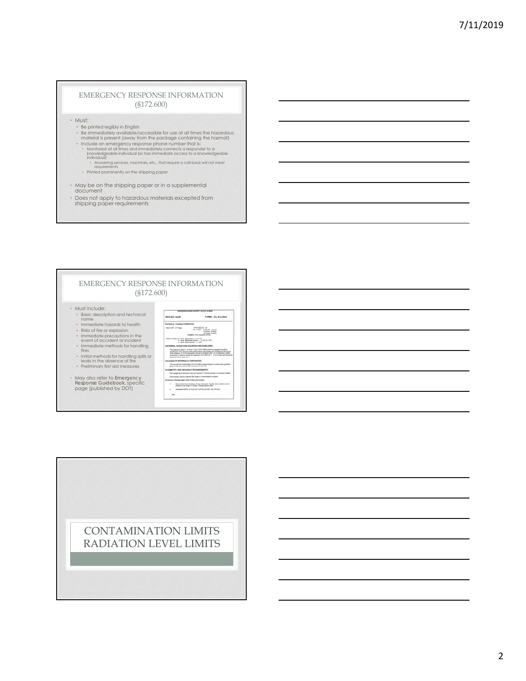#### EMERGENCY RESPONSE INFORMATION (§172.600)

• Must:

- Be printed legibly in English
- Be immediately available/accessible for use at all times the hazardous<br>• material is present (away from the package containing the hazmat)<br>• Include an emergency response phone number that is:
- 
- Monitored at all times and immediately connects a responder to a<br>knowledgeable individual (or has immediate access to a knowledgeable<br>individual)<br>radiometrices, machines, etc., that require a call-back will not meet<br>requir
- 
- 
- May be on the shipping paper or in a supplemental document
- Does not apply to hazardous materials excepted from shipping paper requirements



CONTAMINATION LIMITS RADIATION LEVEL LIMITS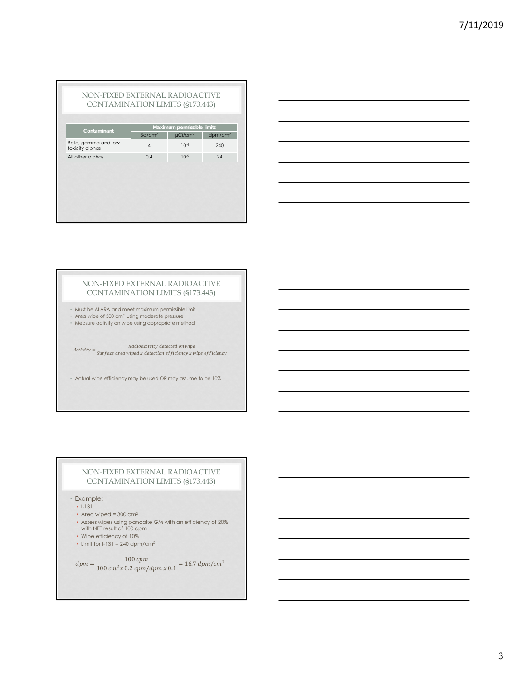| Contaminant                            |                    | Maximum permissible limits |                     |
|----------------------------------------|--------------------|----------------------------|---------------------|
|                                        | Bq/cm <sup>2</sup> | µCi/cm <sup>2</sup>        | dpm/cm <sup>2</sup> |
| Beta, gamma and low<br>toxicity alphas | $\overline{4}$     | $10^{-4}$                  | 240                 |
| All other alphas                       | 0.4                | $10^{-5}$                  | 24                  |
|                                        |                    |                            |                     |
|                                        |                    |                            |                     |
|                                        |                    |                            |                     |



#### NON-FIXED EXTERNAL RADIOACTIVE CONTAMINATION LIMITS (§173.443)

- Must be ALARA and meet maximum permissible limit
- Area wipe of 300 cm2 using moderate pressure
- Measure activity on wipe using appropriate method

 $Activity = \frac{Radioactivity\ detected\ on\ wipe}{Surface\ area\ wiped\ x\ detection\ efficiency\ x\ wipe\ efficiency}$ 

• Actual wipe efficiency may be used OR may assume to be 10%

#### NON-FIXED EXTERNAL RADIOACTIVE CONTAMINATION LIMITS (§173.443)

• Example:

- I-131
- Area wiped = 300 cm<sup>2</sup>
- Assess wipes using pancake GM with an efficiency of 20% with NET result of 100 cpm
- Wipe efficiency of 10%
- Limit for  $I-131 = 240$  dpm/cm<sup>2</sup>

 $dpm = \frac{100 \;cpm}{300 \;cm^2 \chi \;0.2 \;cpm/dpm \; \chi \;0.1} = 16.7 \;dpm/cm^2$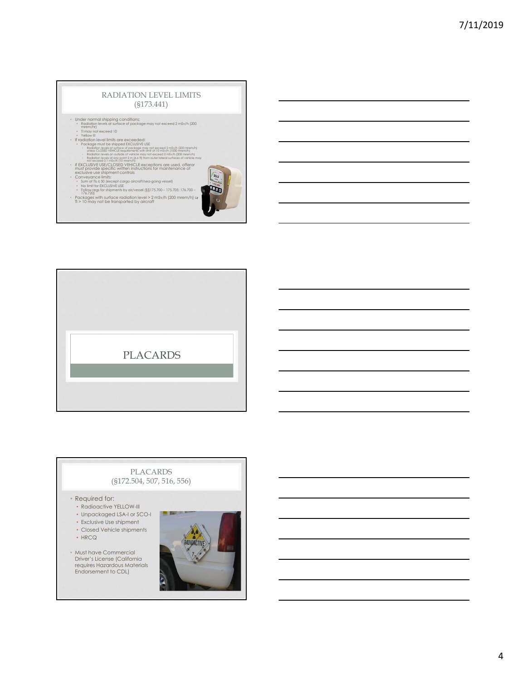#### RADIATION LEVEL LIMITS (§173.441)

23.3 E

- 
- 
- 
- 
- Under normal stipping conditions:<br>
The manning in the control of the control of the control of the control of the control of the control of the control of the control of the control of the control of the control of the
- 
- 
- 
- 
- 
- 



# PLACARDS (§172.504, 507, 516, 556)

#### • Required for:

- Radioactive YELLOW-III
- Unpackaged LSA-I or SCO-I
- Exclusive Use shipment
- Closed Vehicle shipments
- HRCQ

• Must have Commercial Driver's License (California requires Hazardous Materials Endorsement to CDL)

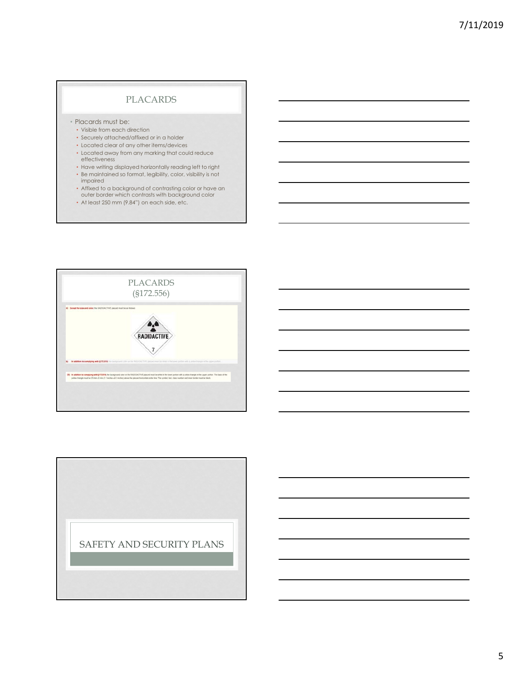# PLACARDS

- Placards must be:
	- Visible from each direction
	- Securely attached/affixed or in a holder
	- Located clear of any other items/devices
	- Located away from any marking that could reduce effectiveness
	- Have writing displayed horizontally reading left to right • Be maintained so format, legibility, color, visibility is not
	- impaired • Affixed to a background of contrasting color or have an outer border which contrasts with background color
	- At least 250 mm (9.84") on each side, etc.



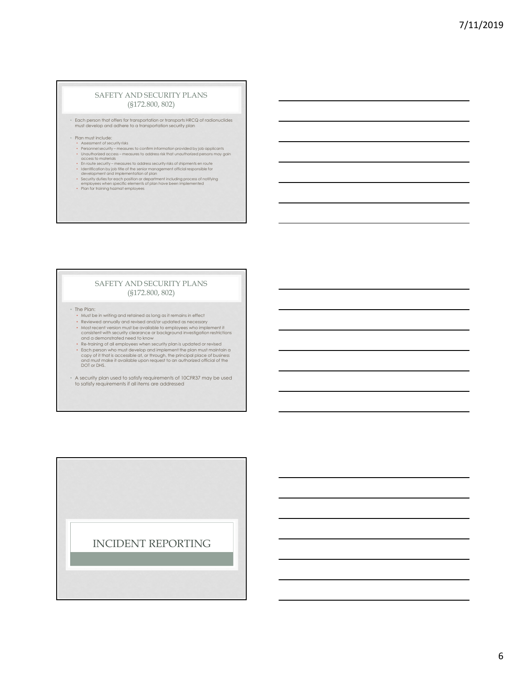#### SAFETY AND SECURITY PLANS (§172.800, 802)

- Each person that offers for transportation or transports HRCQ of radionuclides must develop and adhere to a transportation security plan
- Plan must include:
	-
	- Assessment of security risks<br>• Personnel security measures to confirm information provided by job applicants<br>• Unauthorized access measures to address risk that unauthorized persons may gain<br>• access to materials<br>• E
	-
	- Identification by job tille of the senior management official responsible for<br>of evelopment and implementation of plan<br>• Security duties for each position or department including process of notifying<br>• Praployees when sp
	-
	-

#### SAFETY AND SECURITY PLANS (§172.800, 802)

• The Plan:

- Must be in writing and retained as long as it remains in effect
- Reviewed annually and revised and/or updated as necessary
- Most recent version must be available to employees who implement it consistent with security clearance or background investigation restrictions and a demonstrated need to know
- Re-training of all employees when security plan is updated or revised • Each person who must develop and implement the plan must maintain a<br>copy of it that is accessible at, or through, the principal place of business<br>and must make it available upon request to an authorized official of the<br>D
- A security plan used to satisfy requirements of 10CFR37 may be used to satisfy requirements if all items are addressed

INCIDENT REPORTING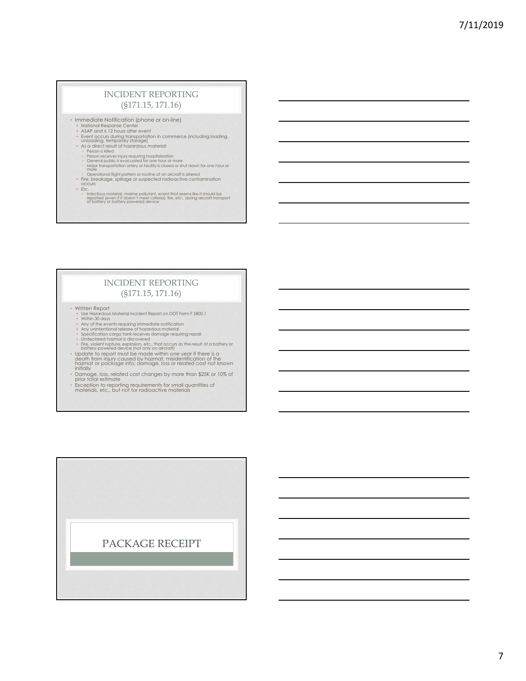## INCIDENT REPORTING (§171.15, 171.16)

• Immediate Notification (phone or on-line)

- 
- National Response Center<br>• ASAP and ≤ 12 hours after event<br>• Event occurs during transportation in commerce (including loading,<br>• unloading, temporary storage)<br>• As a direct result of hazardous material:
- 
- 
- 
- Person is killed<br>• Person receives injury requiring hospitalization<br>• General public is evacuated for one hour or more<br>• Major transportation artery or facility is closed or shut down for one hour or<br>• More<br>• The breakag
- 
- 
- 
- Etc. Infectious material, marine pollutant, event that seems like it should be reported (even if it doesn't meet criteria); fire, etc., during aircraft transport of battery or battery powered device

## INCIDENT REPORTING (§171.15, 171.16)

- -
	-
	-
	-
	-
- Written Report<br>- With Report on DOT Form F 5800.1<br>- Within 30 days<br>- Any of the events requiring immediate notification<br>- Any unintentional release of hazardous material<br>- Specification cargo tank receives damage requiri
- 
- Damage, loss, related cost changes by more than \$25K or 10% of prior total estimate
- Exception to reporting requirements for small quantities of materials, etc., but not for radioactive materials

PACKAGE RECEIPT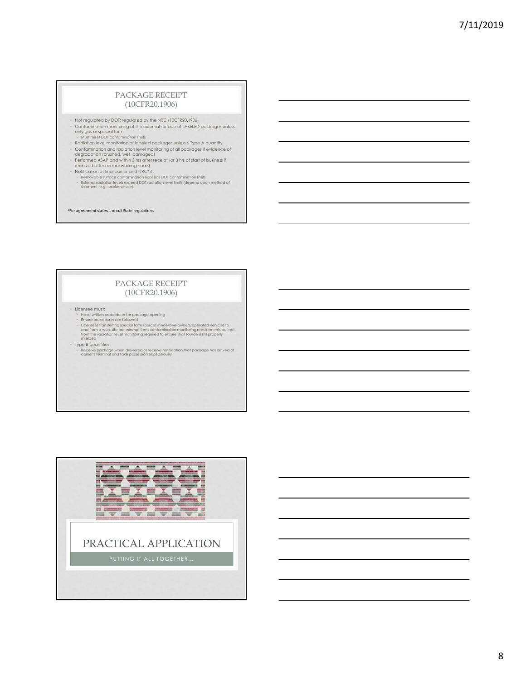#### PACKAGE RECEIPT (10CFR20.1906)

- Not regulated by DOT; regulated by the NRC (10CFR20.1906)
- Contamination monitoring of the external surface of LABELED packages unless only gas or special form
- Must meet DOT contamination limits Radiation level monitoring of labeled packages unless ≤ Type A quantity
- 
- Contamination and radiation level monitoring of all packages if evidence of<br>- Performed ASAP and within 3 hrs after receipt (or 3 hrs of start of business if<br>- Performed ASAP and within 3 hrs after receipt (or 3 hrs of s
- 
- 
- Notification of final carrier and NRC\* if:<br>• Removable surface contamination exceeds DOT contamination limits<br>• External radiation levels exceed DOT radiation level limits (depend upon method of<br>• shipment: e.g., exclusi
- *\*For agreement states, consult State regulations*

### PACKAGE RECEIPT (10CFR20.1906)

• Licensee must:

- 
- Have written procedures for package opening<br>• Ensure procedures are followed<br>• Licensees transfering special form sources in licensee-owned/operated vehicles to<br>• Licensees transfering special form contamination monitori

• Type B quantities • Receive package when delivered or receive notification that package has arrived at carrier's terminal and take possession expeditiously

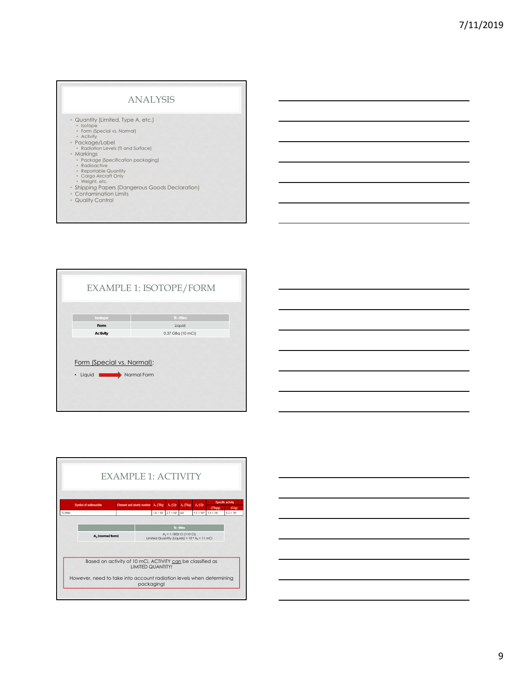## ANALYSIS

• Quantity (Limited, Type A, etc.)

- Isotope Form (Special vs. Normal) Activity
- 
- Package/Label
- Radiation Levels (TI and Surface) Markings
- Package (Specification packaging) Radioactive Reportable Quantity Cargo Aircraft Only Weight, etc.
- 
- 
- 
- Shipping Papers (Dangerous Goods Declaration)
- Contamination Limits Quality Control
- 





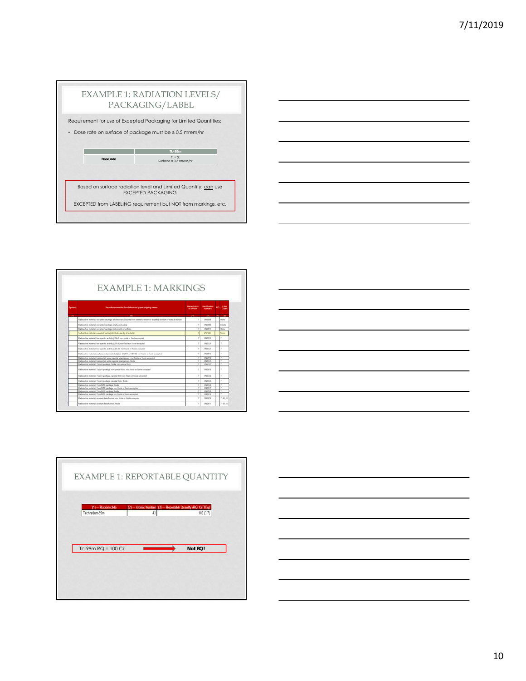|           |           | EXAMPLE 1: RADIATION LEVELS/<br>PACKAGING/LABEL                                             |
|-----------|-----------|---------------------------------------------------------------------------------------------|
|           |           | Requirement for use of Excepted Packaging for Limited Quantities:                           |
| $\bullet$ |           | Dose rate on surface of package must be ≤ 0.5 mrem/hr                                       |
|           |           |                                                                                             |
|           |           | <b>Tc-99m</b>                                                                               |
|           | Dose rate | $TI = 0$<br>Surface = $0.3$ mrem/hr                                                         |
|           |           |                                                                                             |
|           |           |                                                                                             |
|           |           | Based on surface radiation level and Limited Quantity, can use<br><b>FXCEPTED PACKAGING</b> |
|           |           |                                                                                             |
|           |           | EXCEPTED from LABELING requirement but NOT from markings, etc.                              |



|        | EXAMPLE 1: MARKINGS                                                                                                      |                                    |                        |                       |  |
|--------|--------------------------------------------------------------------------------------------------------------------------|------------------------------------|------------------------|-----------------------|--|
| Sumbok | Hazardous materials descriptions and proper shipping names                                                               | <b>Harand class</b><br>or Division | Martill Callins        | <b>Label</b><br>Cader |  |
| 195    | $\alpha$                                                                                                                 | <b>CB</b>                          | 40 80 80               |                       |  |
|        | Easters the material excepted package articles manufackned lines natural uranium or deploted uranium or natural thorium. |                                    | Intelnet               | <b>Since</b>          |  |
|        | Eastcarillin material, excepted asphage empty packaging                                                                  |                                    | <b>180906</b>          | Emphy                 |  |
|        | Fadoache natural ecosited publica instruments or articles                                                                |                                    | SINCHES                | <b>Think</b>          |  |
|        | Radioactive material, excepted package-limited quantity of material                                                      |                                    | UN2910                 | None                  |  |
|        |                                                                                                                          |                                    |                        |                       |  |
|        | Radioactive material, him specific activity (LSA-I) non-hosis or frash excepted                                          |                                    | UNDWEIT                | ٠                     |  |
|        | Radioactive material, how specific activity (CSA-R) now flexite or flascie excessively                                   |                                    | LACIERS                | ٠                     |  |
|        | Fashvactive material, low specific activity (CSA-R) rort Asale or found excepted                                         |                                    | SACS322                | ٠                     |  |
|        | Earline this material, surface contemporal stays to COLL or SCO-8) nor fixels or funds excepted                          | ×                                  | <b><i>LINZINTS</i></b> | ×                     |  |
|        | Eadlishthis trailerful, barraported under special artanogenesis more finally or frashr economist                         |                                    | LINJIETH               |                       |  |
|        | Radicacttin staterial transported under special arrangement. Busin                                                       |                                    | SINTEN                 |                       |  |
|        | Eastwarting material. Type A package, Booke run appoint form                                                             | 7                                  | 180327                 |                       |  |
|        | Redoactive material. Type A package non-special form, non-foods or foods accepted                                        |                                    | URL/USE                | ÷                     |  |
|        | Radioactive material. Type A package, special foret non finale or finale excepted                                        | ×                                  | 1/63357                | ÷                     |  |
|        | Eastcactive material: Type A package, special form, Books                                                                |                                    | SMILLER                |                       |  |
|        | Faduactive material. Type IDM pairbage, floate                                                                           |                                    | <b>SACED</b>           |                       |  |
|        | Eastmachine material. Type SIM package non fassia or histie excepted                                                     |                                    | LACINET                |                       |  |
|        | Eastpactive material. Type BIU package, finally                                                                          |                                    | 1/6(13.76)             |                       |  |
|        | Radicactive material. Type BAD package non house or house excepted.                                                      |                                    | SALTENA                |                       |  |
|        | Eastcactive meterial, seastum beauthorida non fizale or fizale excepted.                                                 | ٠                                  | <b>LINZIETE</b>        | 7.41.8                |  |

Е





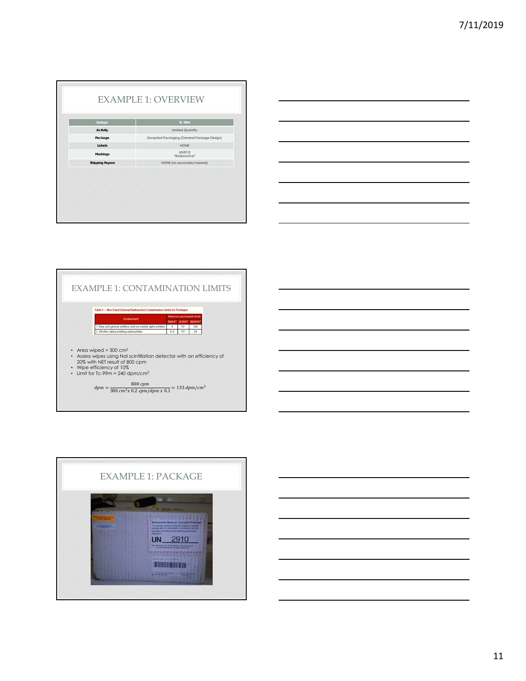|                        | <b>EXAMPLE 1: OVERVIEW</b>                  |  |
|------------------------|---------------------------------------------|--|
| Isotope                | <b>Tc-99m</b>                               |  |
| Activity               | <b>Limited Quantity</b>                     |  |
| Package                | Excepted Packaging (General Package Design) |  |
| Labels                 | <b>NONE</b>                                 |  |
| Markings               | <b>IIN2910</b><br>"Radioactive"             |  |
| <b>Shipping Papers</b> | NONE (no secondary hazards)                 |  |
|                        |                                             |  |





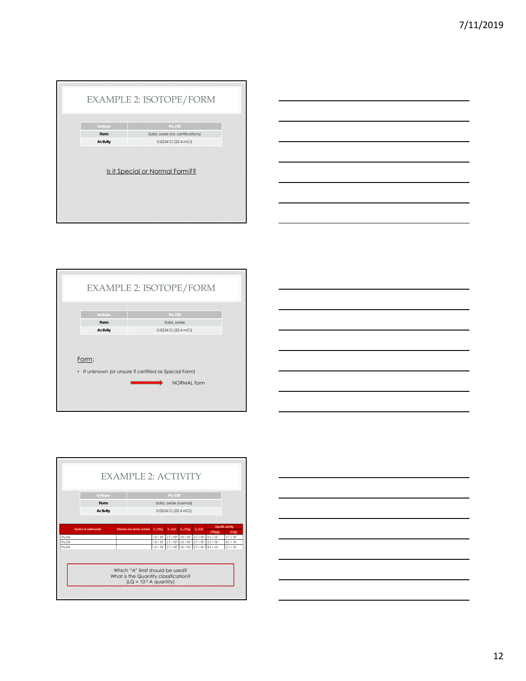|                  | Pu-238                                                   |
|------------------|----------------------------------------------------------|
| Form<br>Activity | Solid, oxide (no certifications)<br>0.0224 Ci (22.4 mCi) |
|                  | Is it Special or Normal Form??                           |





Form:

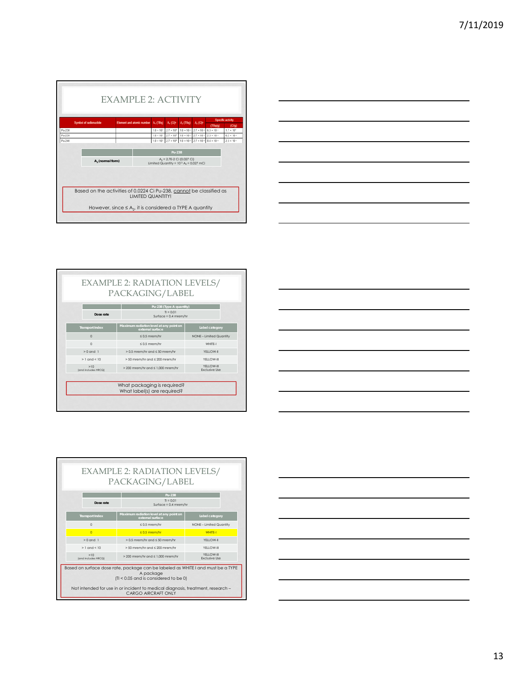



| $TI = 0.01$<br>Surface = $0.4$ mrem/hr                      |                                             |  |
|-------------------------------------------------------------|---------------------------------------------|--|
| Maximum radiation level at any point on<br>external surface | Label category                              |  |
| $\leq 0.5$ mrem/hr                                          | NONE - Limited Quantity                     |  |
| $\leq 0.5$ mrem/hr                                          | WHITE-I                                     |  |
| $> 0.5$ mrem/hr and $\leq 50$ mrem/hr                       | YFI I OW-II                                 |  |
| > 50 mrem/hr and ≤ 200 mrem/hr                              | YFI I OW-III                                |  |
| $>$ 200 mrem/hr and $\leq$ 1.000 mrem/hr                    | YFI I OW-III<br><b>Exclusive Use</b>        |  |
|                                                             |                                             |  |
|                                                             | PACKAGING/LABEL<br>Pu-238 (Type A quantity) |  |





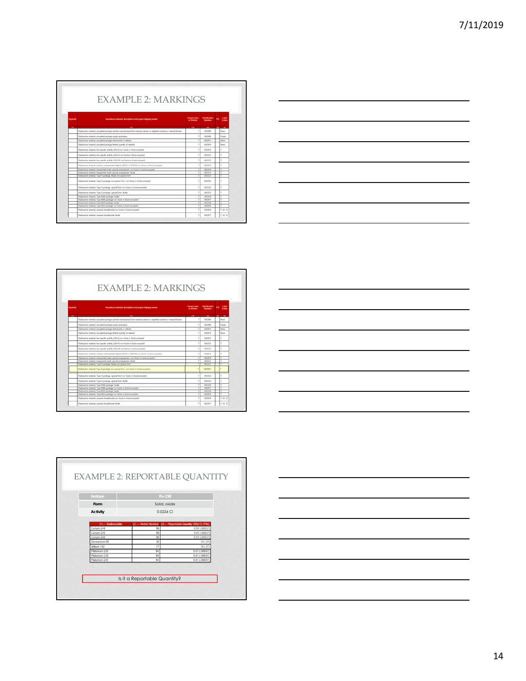| Sumbok | Hazardous materials descriptions and proper shipping names                                                               | <b>Hazard class</b><br>or Division | <b>Manufication</b>    | Label<br>Codes |
|--------|--------------------------------------------------------------------------------------------------------------------------|------------------------------------|------------------------|----------------|
| m      | $\alpha$                                                                                                                 | $\alpha$                           | 445                    | 89.<br>- 153   |
|        | Easters the material excepted package articles manufackned lines natural uranium or deploted uranium or natural thorium. | J.                                 | LIKING                 | None           |
|        | Eastcarillin material, excepted asphage empty packaging                                                                  | ×                                  | 1/07/02                | Emply          |
|        | Fadoache natural ecosited publica instruments or articles                                                                | ٠                                  | URCHEE                 | <b>Toronto</b> |
|        | Eastmachine multerial, assissingly package British muselity of multerial                                                 | ×                                  | CRETIFIE               | <b>Torne</b>   |
|        |                                                                                                                          |                                    |                        |                |
|        | Radioactive material, him specific activity (LSA-I) run Assive or fussive exception                                      | ٠                                  | UNDIED                 | r              |
|        | Radioactive material, how specific activity (CSA-R) now flexite or flascie excessively                                   |                                    | LINCESCO               | ٠              |
|        | Hadicactica material, hoe specific actions (CSA-81) curt Sourie or founte excepted                                       | ٠                                  | SACISTO                | ٠              |
|        | Earline the material include contemporal state to 15013 or \$0.0.6) not finite or funds excepted                         | ×                                  | <b><i>LINETHER</i></b> | ٠              |
|        | Eadlishthis trailerful, barraported under special artanogenesis more finally or frashr economist                         |                                    | LINJIETH               |                |
|        | Radicacttin staterial transported under special arrangement. Busin                                                       | ٠                                  | SINTENE                |                |
|        | Radioactive material. Type A package, floake non-special form                                                            | 7                                  | 180327                 |                |
|        | Redoactive material. Type A package non-special form, non-foods or foods accepted                                        |                                    | <b>URL2916</b>         |                |
|        | Radioactive material. Type A package, special foret non finale or foots-accepted                                         | ×                                  | 1/63357                | ÷              |
|        | Faduactive material. Type A package, special form, Toolia                                                                | ī                                  | SMILLER                |                |
|        | <b>Faduactive material</b> , Type RMI package, Roake                                                                     |                                    | SAILIN                 |                |
|        | Eastmachine material. Type SIM package non fassia or histie excepted                                                     |                                    | <b>UALTWEF</b>         |                |
|        | Eadouctive material. Type (ULF) package. Books                                                                           |                                    | 180326                 |                |
|        | Radicactive material. Type BAD package non house or house excepted.                                                      |                                    | SALTENA                |                |
|        | Fashington meterial, seastum heaphuside non fascie or fascio excepted                                                    | ٠                                  | <b><i>SAQSTE</i></b>   | 7.41.8         |
|        | Radicaction material, standard based costa. Body                                                                         | $\overline{z}$                     | UNITE                  | 7, 6, 1, 8     |



EXAMPLE 2: MARKINGS -<br>Mazard class - Memblication - pcp - Label<br>- or Clinicate - Numbers - PC - Clinics ladiractive material, excepted package articles manufactured from natural scanture or depists the first model and reflect that both model of which **UNDER** UK  $181322$ .<br>Hell under special whatgeness, myr Assie or heale usan UN2915 t summit "(ya "quickgo, spice terms, train<br>a summit "(ya Apachage, spice from Train<br>a summit "(ya Riff) pachage, textile<br>a summit "(ya Riff) pachage, textile<br>a summit "(ya Riff) pachage, textile<br>a summit "(ya Riff) pachage  $\begin{tabular}{|c|c|c|c|} \hline $r$ & 00033 & $T$ \\ \hline $T$ & 00035 & $T$ \\ \hline $T$ & 00035 & $T$ \\ \hline $T$ & 000336 & $T$ \\ \hline $T$ & 000338 & $T$ \\ \hline $T$ & 000338 & $T$ & 0.41,8 \\ \hline $T$ & 00033 & $T$ & 0.41,8 \\ \hline \end{tabular}$ the Book





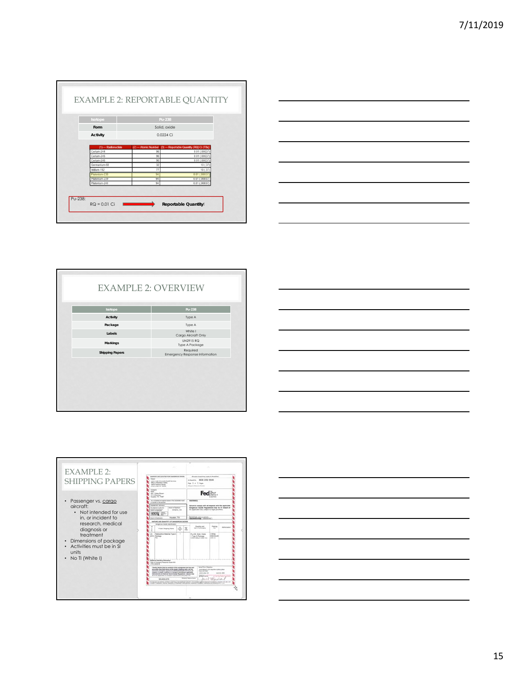



| <b>EXAMPLE 2: OVERVIEW</b> |                                            |
|----------------------------|--------------------------------------------|
| Isotope                    | Pu-238                                     |
| Activity                   | Type A                                     |
| Package                    | Type A                                     |
| Labels                     | White I<br>Cargo Aircraft Only             |
| Markings                   | UN2915 RQ<br>Type A Package                |
| <b>Shipping Papers</b>     | Required<br>Emergency Response Information |
|                            |                                            |





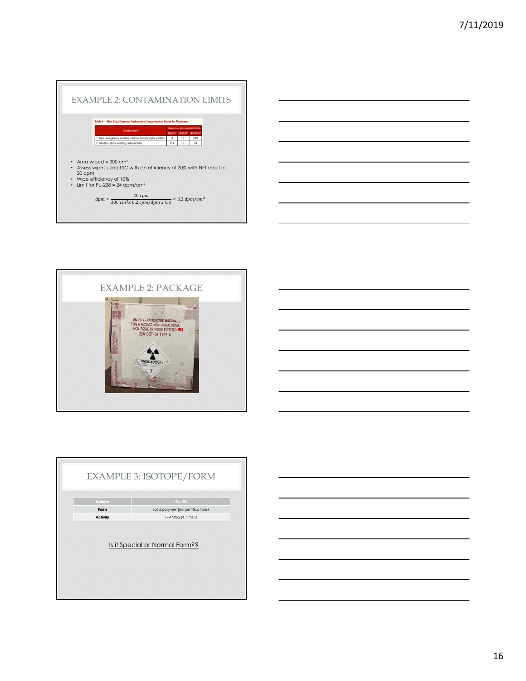



|          | <b>EXAMPLE 3: ISOTOPE/FORM</b>    |
|----------|-----------------------------------|
| Isotope  | Ge-68                             |
| Form     | Solid polymer (no certifications) |
| Activity | 174 MBq (4.7 mCi)                 |
|          | Is it Special or Normal Form??    |

16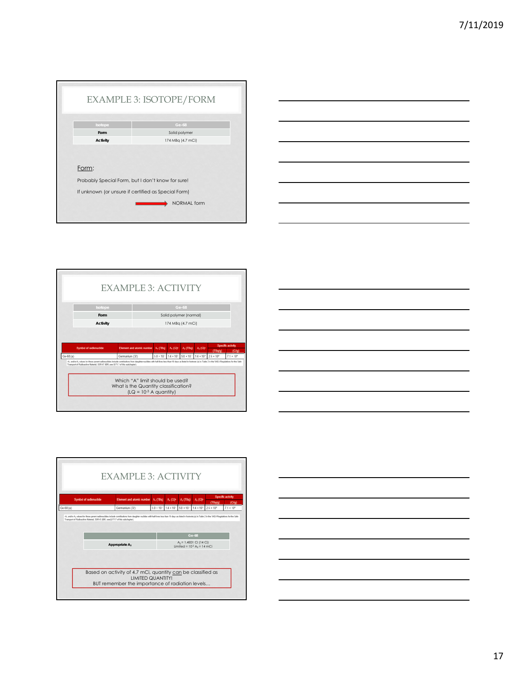| Isotope                                                    | Ge-68             |
|------------------------------------------------------------|-------------------|
| Form                                                       | Solid polymer     |
| Activity                                                   | 174 MBq (4.7 mCi) |
| Form:<br>Probably Special Form, but I don't know for sure! |                   |
| If unknown (or unsure if certified as Special Form)        |                   |









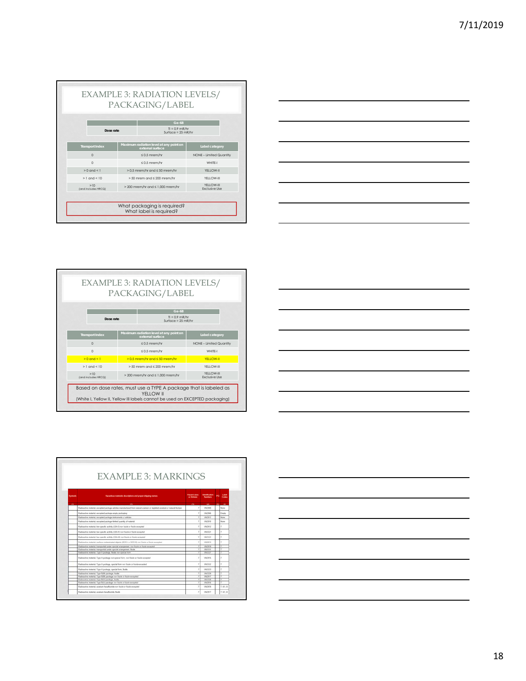|                            | PACKAGING/LABEL                                             |                                      |
|----------------------------|-------------------------------------------------------------|--------------------------------------|
|                            | Ge-68                                                       |                                      |
| Dose rate                  | $T = 0.9$ mR/hr<br>Surface = $25$ mR/hr                     |                                      |
| <b>Transport Index</b>     | Maximum radiation level at any point on<br>external surface | Label category                       |
| $\Omega$                   | $\leq$ 0.5 mrem/hr                                          | NONE - Limited Quantity              |
| $\Omega$                   | $\leq 0.5$ mrem/hr                                          | WHITF-I                              |
| $> 0$ and $< 1$            | $> 0.5$ mrem/hr and $\leq 50$ mrem/hr                       | YFI I OW-II                          |
| $> 1$ and $< 10$           | $> 50$ mrem and $\leq 200$ mrem/hr                          | YFI I OW-III                         |
| >10<br>(and includes HRCQ) | $>$ 200 mrem/hr and $\leq$ 1.000 mrem/hr                    | YFI I OW-III<br><b>Exclusive Use</b> |



|                            |                                       | Ge-68                                                       |                                      |
|----------------------------|---------------------------------------|-------------------------------------------------------------|--------------------------------------|
| Dose rate                  |                                       | $\Pi = 0.9$ mR/hr<br>$Surface = 25$ mR/hr                   |                                      |
| <b>Transport Index</b>     |                                       | Maximum radiation level at any point on<br>external surface | Label category                       |
| $\Omega$                   |                                       | $\leq 0.5$ mrem/hr                                          | NONE - Limited Quantity              |
| $\Omega$                   | $\leq 0.5$ mrem/hr                    |                                                             | WHITF-I                              |
| $> 0$ and $< 1$            | $> 0.5$ mrem/hr and $\leq 50$ mrem/hr |                                                             | YFLL OW-II                           |
| $>1$ and $< 10$            | $> 50$ mrem and $\leq 200$ mrem/hr    |                                                             | YFI I OW-III                         |
| >10<br>(and includes HRCQ) |                                       | $>$ 200 mrem/hr and $\leq$ 1.000 mrem/hr                    | YFI I OW-III<br><b>Exclusive Use</b> |



| Sumbok | Hazardous materials descriptions and proper shipping names                                                               | <b>Hazard class</b><br>or Distance | <b>Montification</b>   |    | Label<br>Codes |
|--------|--------------------------------------------------------------------------------------------------------------------------|------------------------------------|------------------------|----|----------------|
| m      | $\overline{a}$                                                                                                           | $\alpha$                           | 445.                   | 89 | - 80           |
|        | Easters the material excepted package articles manufackned lines natural uranium or deploted uranium or natural thorium. |                                    | LIKZISTS               |    | None           |
|        | Faduactive material, excepted peckage entaty packaging                                                                   |                                    | <b>LINCIDES</b>        |    | Emphy          |
|        | Fadoachie material, excepted package instruments or articles                                                             |                                    | URLINET                |    | <b>Toronto</b> |
|        | Eadnocline muterial, assessed package limited quantity of material                                                       |                                    | CREZIEEE               |    | <b>Tuine</b>   |
|        | Radioactive material, him specific activity (LSA-I) non-hosis or frash excepted                                          |                                    | UNDWEIT                |    | r              |
|        | Radioaction material, how specific activity (LSA-R) root fuscie or fascin excepted                                       |                                    | LINCESSY               |    | ٠              |
|        | Fashvactive material, low specific activity (LSA-R) run Auxie or fourie excepted                                         | ٠                                  | SACIS22                |    | ٠              |
|        | Earline the material include contemporal state to 15013 or \$0.0.6) not finite or funds excepted                         |                                    | <b>UNITEE</b>          |    | ×              |
|        | Radiuatine material, transported under special ariangement, mor finale or finale excepted                                |                                    | <b>LINCINTS</b>        |    |                |
|        | Radicacttin staterial transported under special arrangement. Busin                                                       |                                    | SINTEN                 |    |                |
|        | Eastwarting material. Type A package, Booke run appoint form                                                             |                                    | 180327                 |    |                |
|        | Redoactive material. Type A package non-special form non-foods or foods accepted                                         |                                    | UAL2616                |    | ÷              |
|        | Radioactive material. Type A package, special foret non finale or foots-accepted                                         | ,                                  | 1/83357                |    | ÷              |
|        | Faduactive material. Type A package, special form, Toolia                                                                | $\mathbb{R}$                       | UNITED.                |    | ï              |
|        | Faduactive material. Type R/M) paidage, floate                                                                           |                                    | <b>SACED</b>           |    |                |
|        | Eastmachine material. Type SIM package non fassia or histie excepted                                                     |                                    | UNZWIT                 |    |                |
|        | Eadouctive material. Type (ULF) package. Books                                                                           |                                    | 1/41328                |    |                |
|        | Radicactive material. Type BAD package non house or house excepted.                                                      |                                    | SALTENA                |    |                |
|        | Fastractive meterial, sranket heaphobide non-fascie or fascie excepted                                                   |                                    | <b><i>LINZISTS</i></b> |    | 7.41.8         |
|        | Radicactive material, standard benaficantile, ficular                                                                    |                                    | UNITET                 |    | 7.61.8         |

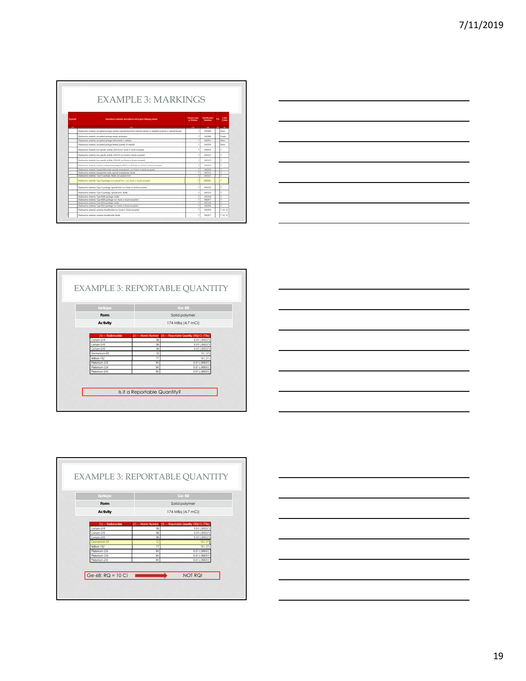| EXAMPLE 3: MARKINGS |                                                                                                                            |                                    |                        |            |                |
|---------------------|----------------------------------------------------------------------------------------------------------------------------|------------------------------------|------------------------|------------|----------------|
| Sumbok              | Hazardous materials descriptions and proper shipping names                                                                 | <b>Hazard diess</b><br>or Division | <b>Manufication</b>    |            | Label<br>Codes |
| m                   | $\alpha$                                                                                                                   | $\alpha$                           | 443                    | <b>BOL</b> | - 69           |
|                     | Easters the material excepted package articles manufackned lines natural scantum or deplated standars or natural thiologic |                                    | LIKENS                 |            | None           |
|                     | Faduactive material, excepted peckage empty packaging                                                                      |                                    | LINCIDER               |            | Emply          |
|                     | Fadoache natural ecosited publica instruments or articles                                                                  |                                    | URCHEE                 |            | <b>Toronto</b> |
|                     | Eastmachine multiplied, assistant package desired quantity of muterial                                                     |                                    | CRETIFIE               |            | <b>Single</b>  |
|                     | Radioactive material, him specific activity (LSA-E non-hosis) or fraulty excepted                                          |                                    | UNDER                  |            | r              |
|                     | Radioactive material. Ive specific article (LSA-R) non fissile or fascie excepted                                          |                                    | LINCESCO               |            | ×              |
|                     | Fashvactive material, low specific activity (CSA-R) rort Asale or found excepted                                           |                                    | 180322                 |            | ٠              |
|                     | Eadlostike material, surface contensiveled abjects (SCO-1 or SCO-8) non-fissile or Festive excepted                        |                                    | <b>UNITEE</b>          |            | ×              |
|                     | Eadlishthis trailerful, barraported under special artanogenesis more finally or frashr economist                           |                                    | <b>LIGHTS</b>          |            |                |
|                     | Radicacttin staterial transported under special arrangement. Busin                                                         |                                    | SINTEN                 |            |                |
|                     | Eastwarting material. Type A package, floaks run apaceal form                                                              |                                    | 180327                 |            |                |
|                     | Radioactive material. Type A package non-special form, non fissile or fissile-excepted                                     |                                    | LIN2915                |            |                |
|                     | Radioactive material. Type A package, special foret non finale or foots-accepted                                           |                                    | 1/83357                |            | ÷              |
|                     | Faduactive material. Type A package, special form, Toolia                                                                  |                                    | UNITER                 |            |                |
|                     | Fadox the meterial. Type SIMI package, Node                                                                                |                                    | <b>SACLUS</b>          |            |                |
|                     | Eastmachine material. Type SIM pairbage root Fassle or Riccio excepted                                                     |                                    | <b>LACINES</b>         |            |                |
|                     | Eastpactive material. Type BIU package, finally                                                                            |                                    | 180328                 |            |                |
|                     | Radicactive material. Type RAI package non fizzie or fizzie-excepted                                                       |                                    | 1942194                |            |                |
|                     | Fashington meterial, seastum heaphuside non fascie or fascio excepted                                                      |                                    | <b><i>LINZISTS</i></b> |            | 7.41.8         |
|                     |                                                                                                                            |                                    |                        |            |                |









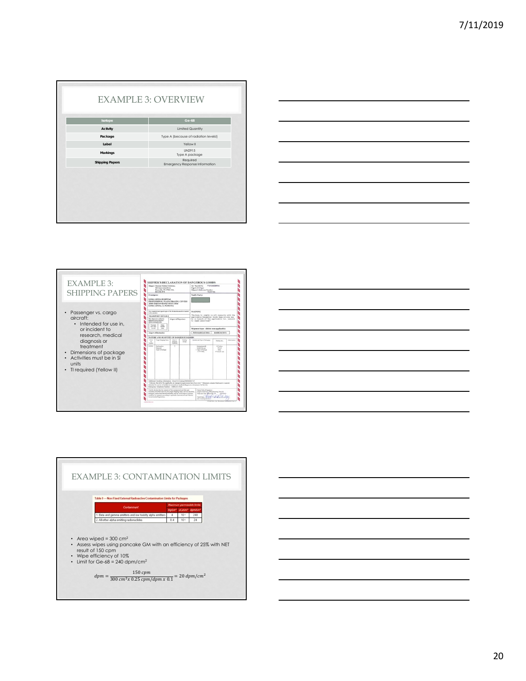| Isotope                | Ge-68                                      |
|------------------------|--------------------------------------------|
| Activity               | <b>Limited Quantity</b>                    |
| Package                | Type A (because of radiation levels!)      |
| Label                  | Yellow II                                  |
| Markings               | UN2915<br>Type A package                   |
| <b>Shipping Papers</b> | Required<br>Emergency Response Information |
|                        |                                            |







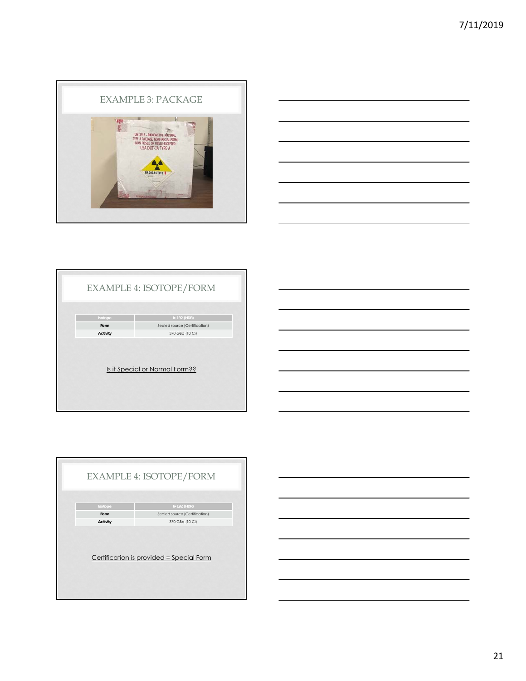





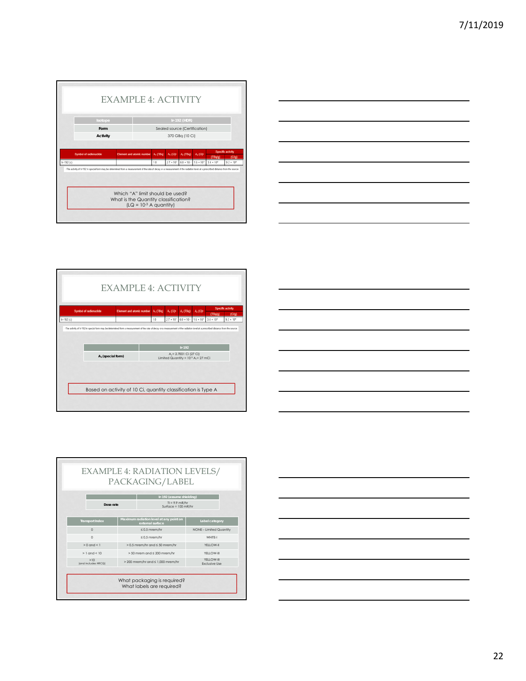|            | Isotope                                                                                                                                                                           |                 |  | Ir-192 (HDR)                  |                         |                                |  |                     |                     |  |
|------------|-----------------------------------------------------------------------------------------------------------------------------------------------------------------------------------|-----------------|--|-------------------------------|-------------------------|--------------------------------|--|---------------------|---------------------|--|
|            | Form                                                                                                                                                                              |                 |  | Sealed source (Certification) |                         |                                |  |                     |                     |  |
|            | Activity                                                                                                                                                                          | 370 GBq (10 Ci) |  |                               |                         |                                |  |                     |                     |  |
| $k-192(c)$ | The activity of in-192 in special form may be determined from a measurement of the rate of decay or a measurement of the radiation level at a prescribed distance from the source |                 |  | 1.0                           | $2.7 * 10$ <sup>*</sup> | $6.0 \times 10^{-1}$ 1.6 × 10* |  | $3.4 \times 10^{8}$ | $9.2 \times 10^{4}$ |  |
|            |                                                                                                                                                                                   |                 |  |                               |                         |                                |  |                     |                     |  |









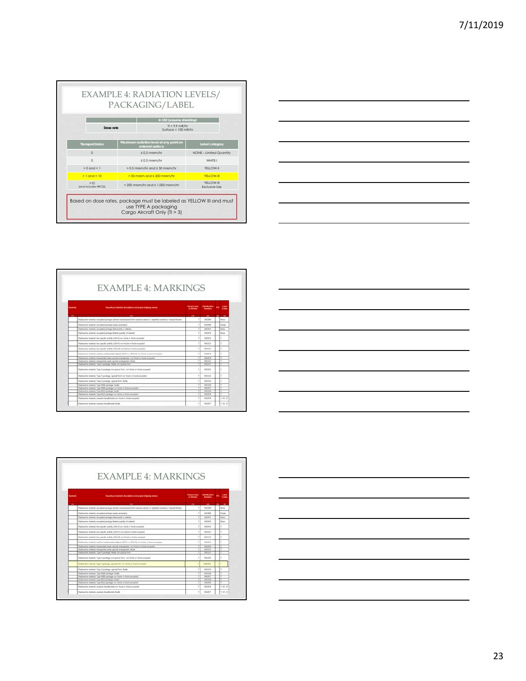|                            | Ir-192 (assume shielding)                |                                      |
|----------------------------|------------------------------------------|--------------------------------------|
| Dose rate                  | $T = 9.9$ mR/hr<br>Surface = $100$ mR/hr |                                      |
| <b>Transport Index</b>     | Maximum radiation level at any point on  | Label category                       |
| $\Omega$                   | external surface<br>$\leq 0.5$ mrem/hr   | NONE - Limited Quantity              |
| $\Omega$                   | $\leq 0.5$ mrem/hr                       | WHITF-I                              |
| $> 0$ and $< 1$            | $> 0.5$ mrem/hr and $\leq 50$ mrem/hr    | YELLOW-II                            |
| $> 1$ and $< 10$           | $> 50$ mrem and $\leq 200$ mrem/hr       | YFIT OW-III                          |
| >10<br>(and includes HRCQ) | $>$ 200 mrem/hr and $\leq$ 1.000 mrem/hr | YFI I OW-III<br><b>Exclusive Use</b> |



| Sumbok | Hazardous materials descriptions and proper shipping names                                                               | <b>Hazand class</b><br>or Division |                        |                 | Label<br>Codes |
|--------|--------------------------------------------------------------------------------------------------------------------------|------------------------------------|------------------------|-----------------|----------------|
| m      | $\overline{a}$                                                                                                           | $\alpha$                           | 445                    | 80 <sub>1</sub> | - 69           |
|        | Easters the material excepted package articles manufackned lines natural uranium or deploted uranium or natural thorium. |                                    | Intelnet               |                 | Nine           |
|        | Faduactive material, excepted peckage empty packaging                                                                    |                                    | 1/07/02                |                 | Emphy          |
|        | Fadoache natural ecosited publica instruments or articles                                                                |                                    | SRONTS                 |                 | <b>Toronto</b> |
|        | Eadnocline muterial, assessed package limited quantity of material                                                       |                                    | CRCTRTS                |                 | <b>Tuine</b>   |
|        |                                                                                                                          |                                    |                        |                 |                |
|        | Radioactive material, him specific activity (LSA-I) run Assive or fussive exception                                      | $\mathbb{R}$                       | UNDIED                 |                 | r.             |
|        | Radioactive material, how specific activity (CSA-R) now flexite or flascie excessively                                   | ÷                                  | LACIERS                |                 | r              |
|        | Fashvactive material, low specific activity (CSA-R) rort Asale or found excepted                                         | ٠                                  | SACISTO                |                 | ٠              |
|        | Eadloadtes material, surface contemerated abjects (SCO-1 or SCO-8) non fissite or Festiv excepted                        | ×                                  | <b><i>LINETHER</i></b> |                 | r              |
|        | Eadlice this instertal, bassported under special entangement, mor finale or fusie accepted                               |                                    | LINZIETH               |                 |                |
|        | Radicacttive staterial transported under special arrangement. Busin-                                                     |                                    | SINGS                  |                 |                |
|        | Eastwarting material. Type A package, floaks run appoint form                                                            | э                                  | <b>UN0327</b>          |                 |                |
|        | Eastmartine meterial. Type A parkage non-special form, non finale or finale accepted                                     |                                    | URL/USE                |                 | ÷              |
|        | Radioactive material. Type A package, special foret non finale or foots-accepted                                         | ٠                                  | 1/63357                |                 | ÷              |
|        | Faduactive material. Type A package, special form, Toolia                                                                |                                    | UNITER                 |                 | ٠              |
|        | <b>Faduactive meterial</b> , Type RMI paiduries, Rosle                                                                   |                                    | SAILTH                 |                 |                |
|        | Eastmachine material. Type SIM pairbage root Fassle or Riccio excepted                                                   |                                    | <b>UALTWEF</b>         |                 |                |
|        | Eastpactive material. Type BIU package, finally                                                                          |                                    | 180326                 |                 |                |
|        | Eadquestive memoral. Type BATI package non-figure or fusine excepted.                                                    |                                    | 1942194                |                 |                |
|        | Fastractive meterial, sranket heaphobide non-fascie or fascie excepted                                                   | ÷                                  | <b><i>SAQSTE</i></b>   |                 | 7.41.8         |

г

| ,我们也不会有什么?""我们的人,我们也不会有什么?""我们的人,我们也不会有什么?""我们的人,我们也不会有什么?""我们的人,我们也不会有什么?""我们的人                                       |  |                                   |
|------------------------------------------------------------------------------------------------------------------------|--|-----------------------------------|
|                                                                                                                        |  |                                   |
| a shekarar 1980 haqida qayta tashkil qayta tashkil tashkil tashkil tashkil tashkil tashkil tashkil tashkil tash        |  |                                   |
|                                                                                                                        |  |                                   |
|                                                                                                                        |  |                                   |
| <u> 1989 - Johann Stoff, deutscher Stoffen und der Stoffen und der Stoffen und der Stoffen und der Stoffen und der</u> |  | and the control of the control of |
| the contract of the contract of the contract of the contract of the contract of the contract of the contract of        |  |                                   |
|                                                                                                                        |  |                                   |

|        |                                                                                                                          |                                    | <b>EXAMPLE 4: MARKINGS</b> |              |                |
|--------|--------------------------------------------------------------------------------------------------------------------------|------------------------------------|----------------------------|--------------|----------------|
| Sumbok | Hazardous materials descriptions and proper shipping names                                                               | <b>Hazard class</b><br>or Distance | <b>Mentification</b>       |              | Label<br>Codes |
| m      | $\alpha$                                                                                                                 | <b>CB</b>                          | $-40 - 7$                  | <b>INGER</b> | - 69           |
|        | Easters the material excepted package articles manufackned lines natural uranium or deploted uranium or natural thorium. |                                    | LIKING                     |              | None:          |
|        | Faduactive material, excepted peckage entaty packaging                                                                   |                                    | LINCINDE                   |              | Emply          |
|        | Fadoachie material excepted package instruments or while-                                                                |                                    | URLINET                    |              | <b>Score</b>   |
|        | Eadnocline muterial, assessed package desired quantity of material.                                                      |                                    | CREZIETO                   |              | <b>Scott</b>   |
|        | Radioactive material, him specific activity (LSA-I) non-hosis or frash excepted                                          |                                    | UADIO                      |              | r.             |
|        | Radioactive material, hor specific activity (LSA-R) non fissile or fassile excepted                                      |                                    | LINCESCO                   |              | ×              |
|        | Fashvactive material, low specific activity (LSA-R) run Auxie or fourie excepted                                         |                                    | SACISTO                    |              | ٠              |
|        | Eadlostike material, surface contensiveled abjects (SCO-1 or SCO-8) non-fissile or Festive excepted                      |                                    | <b><i>LINETHER</i></b>     |              | ×              |
|        | Eadlice this material. Instruported under special entangement, mor Rosle or fusite ecosystem                             |                                    | LINJIETH                   |              |                |
|        | Radicacttin staterial transported under special arrangement. Busin                                                       |                                    | SINTEN                     |              |                |
|        | Eastwarting material. Type A package, Booke run appoint form                                                             |                                    | UN0327                     |              |                |
|        | Radioactive meterial. Type A parkage non-special form non finale or finale excepted.                                     |                                    | <b>URL2916</b>             |              | ÷              |
|        | Radioactive material. Type A package, special form non fissile or fissile-excepted                                       | 7                                  | <b>UN3332</b>              |              |                |
|        | Faduactive material. Type A package, special form, Toolia                                                                |                                    | 1943333                    |              |                |
|        | Faduactive material. Type RAI pairbage, foule                                                                            |                                    | <b>SACED</b>               |              |                |
|        | Eastmachine material. Type SIM package non fassia or histie excepted                                                     |                                    | <b>UALTWEF</b>             |              |                |
|        | Eadouctive material. Type (ULF) package. Books                                                                           |                                    | 1/41326                    |              |                |
|        | Radicactive material. Type RATI package non-fourie or fusive excepted.                                                   |                                    | SALTENA                    |              |                |
|        | Fashington meterial, seastum heaphuside non fascie or fascio excepted                                                    |                                    | <b><i>SAQSTE</i></b>       |              | 7.41.8         |
|        | Radicactive material, standard benaficantile, ficular                                                                    |                                    | UNITET                     |              | 7.61.8         |

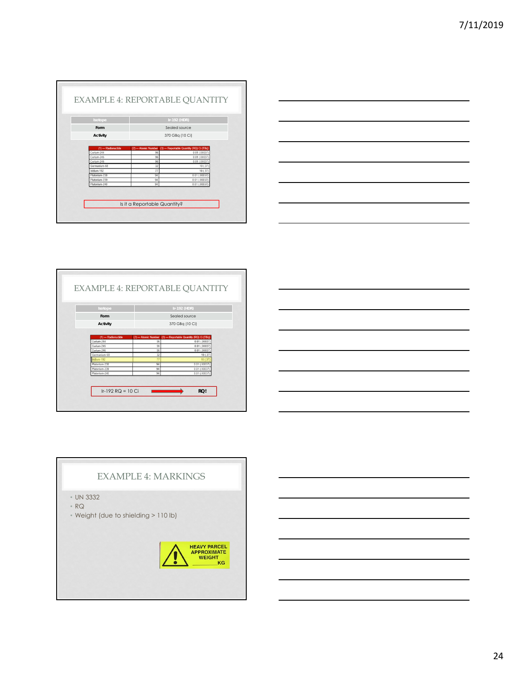| Isotope                                       |                             | Ir-192 (HDR)                                           |  |
|-----------------------------------------------|-----------------------------|--------------------------------------------------------|--|
| Form                                          |                             | Sealed source                                          |  |
| Activity                                      | 370 GBq (10 Ci)             |                                                        |  |
| Curium-245                                    | 96<br>96                    | $0.01$ $(.00037$<br>$0.01$ $(.00037$<br>$0.01$ (.00037 |  |
| Curium-246                                    |                             |                                                        |  |
| Germanium-68                                  | 32                          | 10(.37)                                                |  |
| Iridium-192<br>Plutonium-238<br>Plutonium-239 | $\overline{77}$<br>94<br>94 | 10(.37)<br>$0.01$ $(.00037$<br>$0.01$ (.00037)         |  |







# EXAMPLE 4: MARKINGS • UN 3332 • RQ • Weight (due to shielding > 110 lb)

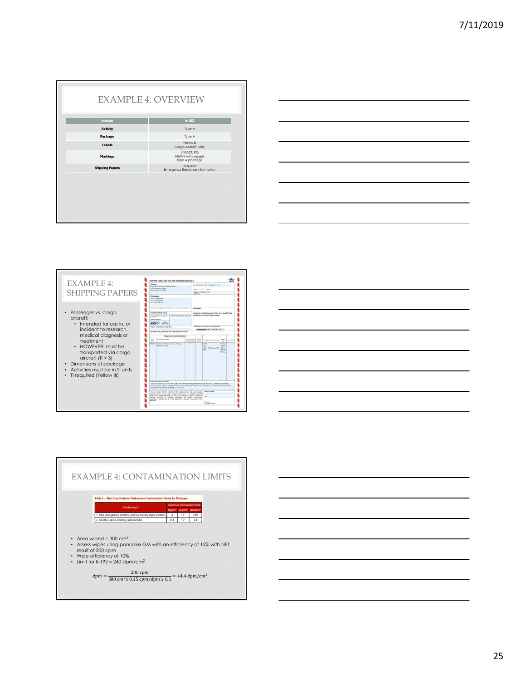| Isotope                | $Ir-192$                                          |
|------------------------|---------------------------------------------------|
| Activity               | Type A                                            |
| Package                | Type A                                            |
| Labels                 | Yellow III<br>Cargo Aircraft Only                 |
| Markings               | UN3332: RQ<br>HEAVY with weight<br>Type A package |
| <b>Shipping Papers</b> | Required<br>Emergency Response Information        |
|                        |                                                   |







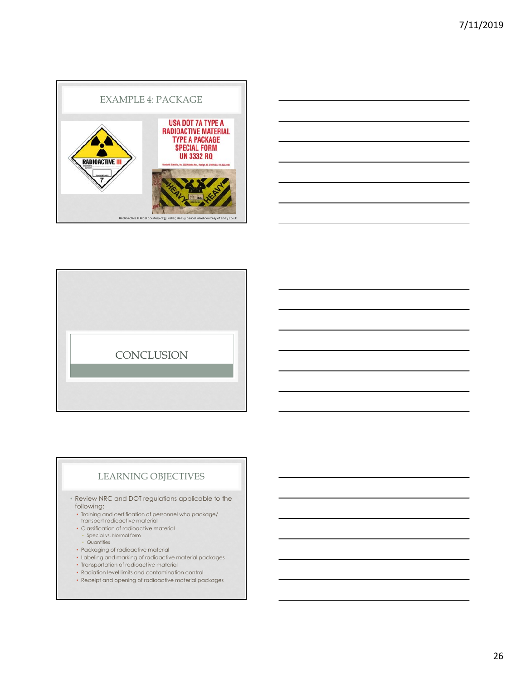





## LEARNING OBJECTIVES

- Review NRC and DOT regulations applicable to the following:
- Training and certification of personnel who package/ transport radioactive material
- Classification of radioactive material
- Special vs. Normal form
- Quantities
- Packaging of radioactive material
- Labeling and marking of radioactive material packages
- Transportation of radioactive material
- Radiation level limits and contamination control
- Receipt and opening of radioactive material packages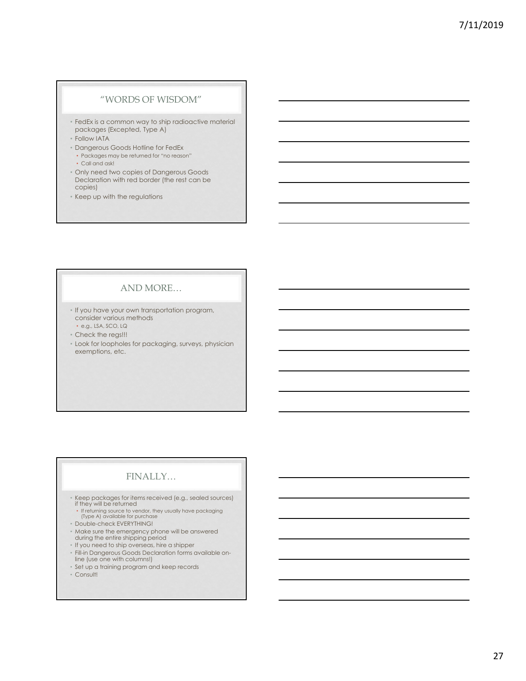## "WORDS OF WISDOM"

- FedEx is a common way to ship radioactive material packages (Excepted, Type A)
- Follow IATA
- Dangerous Goods Hotline for FedEx
- Packages may be returned for "no reason"
- Call and ask!
- Only need two copies of Dangerous Goods Declaration with red border (the rest can be copies)
- Keep up with the regulations

## AND MORE…

- If you have your own transportation program, consider various methods • e.g., LSA, SCO, LQ
- Check the regs!!!
- 
- Look for loopholes for packaging, surveys, physician exemptions, etc.

# FINALLY…

- Keep packages for items received (e.g., sealed sources) if they will be returned If returning source to vendor, they usually have packaging (Type A) available for purchase
- 
- 
- Double-check EVERYTHING!
- Make sure the emergency phone will be answered during the entire shipping period
- If you need to ship overseas, hire a shipper
- Fill-in Dangerous Goods Declaration forms available online (use one with columns!)
- Set up a training program and keep records
- Consult!